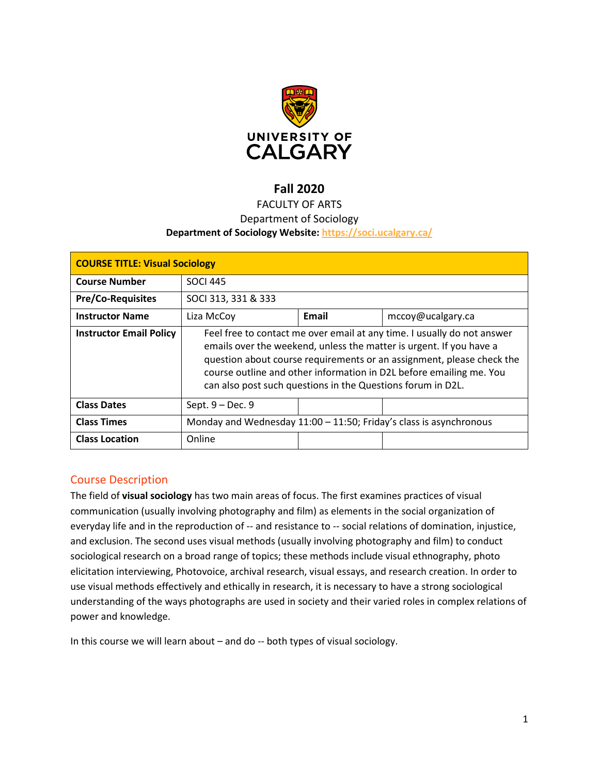

# **Fall 2020**

### FACULTY OF ARTS

#### Department of Sociology

#### **Department of Sociology Website:<https://soci.ucalgary.ca/>**

| <b>COURSE TITLE: Visual Sociology</b> |                                                                                                                                                                                                                                                                                                                                                               |       |                   |  |  |
|---------------------------------------|---------------------------------------------------------------------------------------------------------------------------------------------------------------------------------------------------------------------------------------------------------------------------------------------------------------------------------------------------------------|-------|-------------------|--|--|
| <b>Course Number</b>                  | <b>SOCI 445</b>                                                                                                                                                                                                                                                                                                                                               |       |                   |  |  |
| <b>Pre/Co-Requisites</b>              | SOCI 313, 331 & 333                                                                                                                                                                                                                                                                                                                                           |       |                   |  |  |
| <b>Instructor Name</b>                | Liza McCoy                                                                                                                                                                                                                                                                                                                                                    | Email | mccoy@ucalgary.ca |  |  |
| <b>Instructor Email Policy</b>        | Feel free to contact me over email at any time. I usually do not answer<br>emails over the weekend, unless the matter is urgent. If you have a<br>question about course requirements or an assignment, please check the<br>course outline and other information in D2L before emailing me. You<br>can also post such questions in the Questions forum in D2L. |       |                   |  |  |
| <b>Class Dates</b>                    | Sept. $9 - Dec.9$                                                                                                                                                                                                                                                                                                                                             |       |                   |  |  |
| <b>Class Times</b>                    | Monday and Wednesday 11:00 - 11:50; Friday's class is asynchronous                                                                                                                                                                                                                                                                                            |       |                   |  |  |
| <b>Class Location</b>                 | Online                                                                                                                                                                                                                                                                                                                                                        |       |                   |  |  |

### Course Description

The field of **visual sociology** has two main areas of focus. The first examines practices of visual communication (usually involving photography and film) as elements in the social organization of everyday life and in the reproduction of -- and resistance to -- social relations of domination, injustice, and exclusion. The second uses visual methods (usually involving photography and film) to conduct sociological research on a broad range of topics; these methods include visual ethnography, photo elicitation interviewing, Photovoice, archival research, visual essays, and research creation. In order to use visual methods effectively and ethically in research, it is necessary to have a strong sociological understanding of the ways photographs are used in society and their varied roles in complex relations of power and knowledge.

In this course we will learn about – and do -- both types of visual sociology.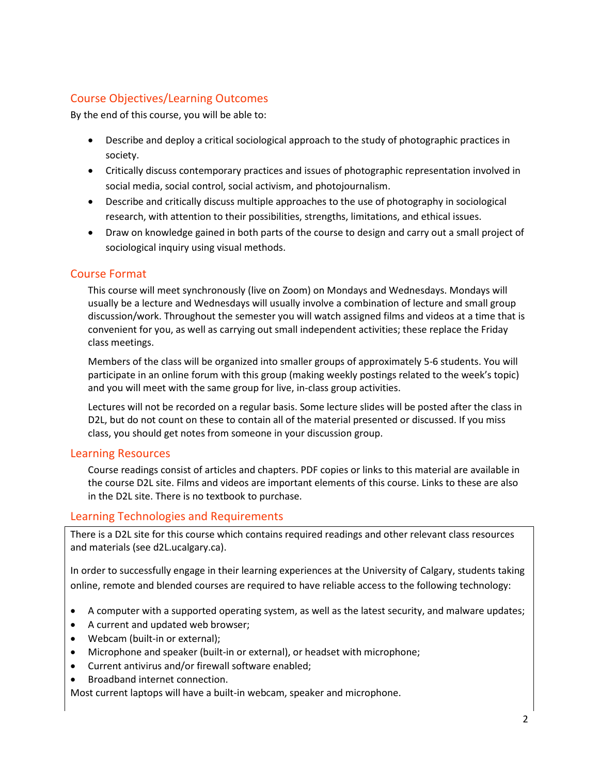# Course Objectives/Learning Outcomes

By the end of this course, you will be able to:

- Describe and deploy a critical sociological approach to the study of photographic practices in society.
- Critically discuss contemporary practices and issues of photographic representation involved in social media, social control, social activism, and photojournalism.
- Describe and critically discuss multiple approaches to the use of photography in sociological research, with attention to their possibilities, strengths, limitations, and ethical issues.
- Draw on knowledge gained in both parts of the course to design and carry out a small project of sociological inquiry using visual methods.

## Course Format

This course will meet synchronously (live on Zoom) on Mondays and Wednesdays. Mondays will usually be a lecture and Wednesdays will usually involve a combination of lecture and small group discussion/work. Throughout the semester you will watch assigned films and videos at a time that is convenient for you, as well as carrying out small independent activities; these replace the Friday class meetings.

Members of the class will be organized into smaller groups of approximately 5-6 students. You will participate in an online forum with this group (making weekly postings related to the week's topic) and you will meet with the same group for live, in-class group activities.

Lectures will not be recorded on a regular basis. Some lecture slides will be posted after the class in D2L, but do not count on these to contain all of the material presented or discussed. If you miss class, you should get notes from someone in your discussion group.

### Learning Resources

Course readings consist of articles and chapters. PDF copies or links to this material are available in the course D2L site. Films and videos are important elements of this course. Links to these are also in the D2L site. There is no textbook to purchase.

# Learning Technologies and Requirements

There is a D2L site for this course which contains required readings and other relevant class resources and materials (see d2L.ucalgary.ca).

In order to successfully engage in their learning experiences at the University of Calgary, students taking online, remote and blended courses are required to have reliable access to the following technology:

- A computer with a supported operating system, as well as the latest security, and malware updates;
- A current and updated web browser;
- Webcam (built-in or external);
- Microphone and speaker (built-in or external), or headset with microphone;
- Current antivirus and/or firewall software enabled;
- Broadband internet connection.

Most current laptops will have a built-in webcam, speaker and microphone.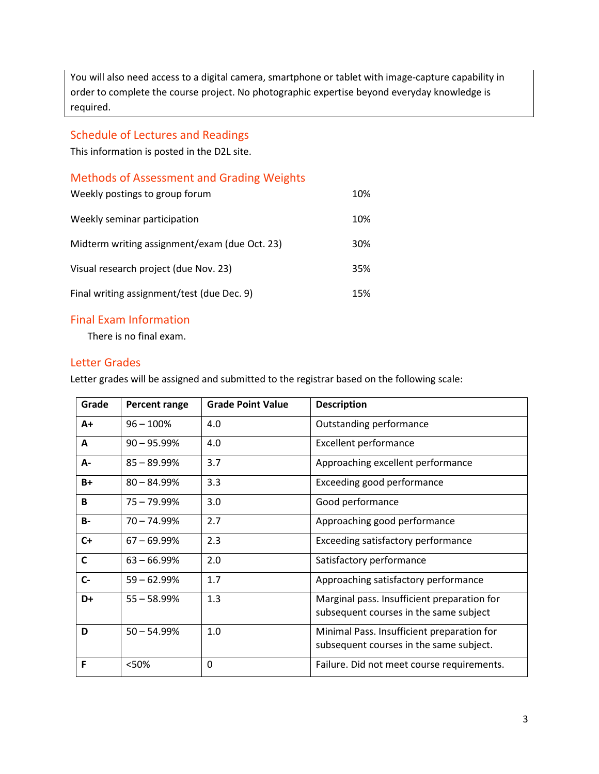You will also need access to a digital camera, smartphone or tablet with image-capture capability in order to complete the course project. No photographic expertise beyond everyday knowledge is required.

## Schedule of Lectures and Readings

This information is posted in the D2L site.

## Methods of Assessment and Grading Weights

| Weekly postings to group forum                | 10% |
|-----------------------------------------------|-----|
| Weekly seminar participation                  | 10% |
| Midterm writing assignment/exam (due Oct. 23) | 30% |
| Visual research project (due Nov. 23)         | 35% |
| Final writing assignment/test (due Dec. 9)    | 15% |

# Final Exam Information

There is no final exam.

#### Letter Grades

Letter grades will be assigned and submitted to the registrar based on the following scale:

| Grade        | Percent range  | <b>Grade Point Value</b> | <b>Description</b>                                                                    |
|--------------|----------------|--------------------------|---------------------------------------------------------------------------------------|
| A+           | $96 - 100%$    | 4.0                      | Outstanding performance                                                               |
| A            | $90 - 95.99%$  | 4.0                      | <b>Excellent performance</b>                                                          |
| A-           | $85 - 89.99%$  | 3.7                      | Approaching excellent performance                                                     |
| $B+$         | $80 - 84.99\%$ | 3.3                      | Exceeding good performance                                                            |
| B            | $75 - 79.99%$  | 3.0                      | Good performance                                                                      |
| <b>B-</b>    | $70 - 74.99%$  | 2.7                      | Approaching good performance                                                          |
| $C+$         | $67 - 69.99%$  | 2.3                      | Exceeding satisfactory performance                                                    |
| $\mathsf{C}$ | $63 - 66.99%$  | 2.0                      | Satisfactory performance                                                              |
| $C -$        | $59 - 62.99%$  | 1.7                      | Approaching satisfactory performance                                                  |
| D+           | $55 - 58.99%$  | 1.3                      | Marginal pass. Insufficient preparation for<br>subsequent courses in the same subject |
| D            | $50 - 54.99%$  | 1.0                      | Minimal Pass. Insufficient preparation for<br>subsequent courses in the same subject. |
| F            | <50%           | 0                        | Failure. Did not meet course requirements.                                            |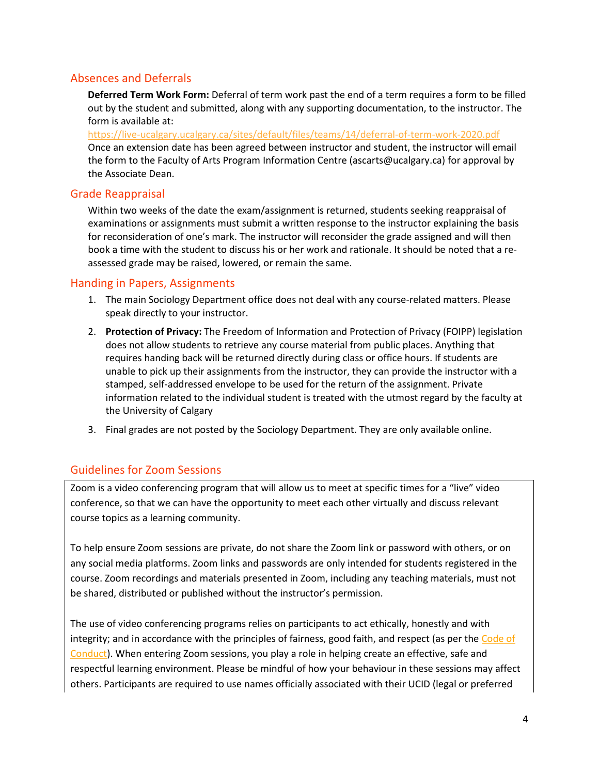## Absences and Deferrals

**Deferred Term Work Form:** Deferral of term work past the end of a term requires a form to be filled out by the student and submitted, along with any supporting documentation, to the instructor. The form is available at:

<https://live-ucalgary.ucalgary.ca/sites/default/files/teams/14/deferral-of-term-work-2020.pdf> Once an extension date has been agreed between instructor and student, the instructor will email the form to the Faculty of Arts Program Information Centre (ascarts@ucalgary.ca) for approval by the Associate Dean.

## Grade Reappraisal

Within two weeks of the date the exam/assignment is returned, students seeking reappraisal of examinations or assignments must submit a written response to the instructor explaining the basis for reconsideration of one's mark. The instructor will reconsider the grade assigned and will then book a time with the student to discuss his or her work and rationale. It should be noted that a reassessed grade may be raised, lowered, or remain the same.

## Handing in Papers, Assignments

- 1. The main Sociology Department office does not deal with any course-related matters. Please speak directly to your instructor.
- 2. **Protection of Privacy:** The Freedom of Information and Protection of Privacy (FOIPP) legislation does not allow students to retrieve any course material from public places. Anything that requires handing back will be returned directly during class or office hours. If students are unable to pick up their assignments from the instructor, they can provide the instructor with a stamped, self-addressed envelope to be used for the return of the assignment. Private information related to the individual student is treated with the utmost regard by the faculty at the University of Calgary
- 3. Final grades are not posted by the Sociology Department. They are only available online.

# Guidelines for Zoom Sessions

Zoom is a video conferencing program that will allow us to meet at specific times for a "live" video conference, so that we can have the opportunity to meet each other virtually and discuss relevant course topics as a learning community.

To help ensure Zoom sessions are private, do not share the Zoom link or password with others, or on any social media platforms. Zoom links and passwords are only intended for students registered in the course. Zoom recordings and materials presented in Zoom, including any teaching materials, must not be shared, distributed or published without the instructor's permission.

The use of video conferencing programs relies on participants to act ethically, honestly and with integrity; and in accordance with the principles of fairness, good faith, and respect (as per the Code of [Conduct\)](https://www.ucalgary.ca/policies/files/policies/code-of-conduct.pdf). When entering Zoom sessions, you play a role in helping create an effective, safe and respectful learning environment. Please be mindful of how your behaviour in these sessions may affect others. Participants are required to use names officially associated with their UCID (legal or preferred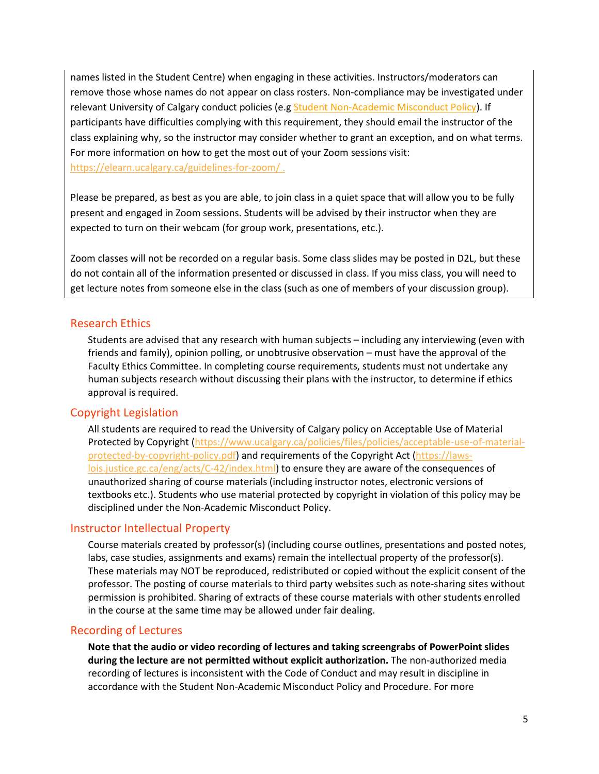names listed in the Student Centre) when engaging in these activities. Instructors/moderators can remove those whose names do not appear on class rosters. Non-compliance may be investigated under relevant University of Calgary conduct policies (e.g [Student Non-Academic Misconduct Policy\)](https://ucalgary.ca/policies/files/policies/non-academic-misconduct-policy.pdf). If participants have difficulties complying with this requirement, they should email the instructor of the class explaining why, so the instructor may consider whether to grant an exception, and on what terms. For more information on how to get the most out of your Zoom sessions visit: <https://elearn.ucalgary.ca/guidelines-for-zoom/> .

Please be prepared, as best as you are able, to join class in a quiet space that will allow you to be fully present and engaged in Zoom sessions. Students will be advised by their instructor when they are expected to turn on their webcam (for group work, presentations, etc.).

Zoom classes will not be recorded on a regular basis. Some class slides may be posted in D2L, but these do not contain all of the information presented or discussed in class. If you miss class, you will need to get lecture notes from someone else in the class (such as one of members of your discussion group).

#### Research Ethics

Students are advised that any research with human subjects – including any interviewing (even with friends and family), opinion polling, or unobtrusive observation – must have the approval of the Faculty Ethics Committee. In completing course requirements, students must not undertake any human subjects research without discussing their plans with the instructor, to determine if ethics approval is required.

### Copyright Legislation

All students are required to read the University of Calgary policy on Acceptable Use of Material Protected by Copyright [\(https://www.ucalgary.ca/policies/files/policies/acceptable-use-of-material](https://www.ucalgary.ca/policies/files/policies/acceptable-use-of-material-protected-by-copyright-policy.pdf)[protected-by-copyright-policy.pdf\)](https://www.ucalgary.ca/policies/files/policies/acceptable-use-of-material-protected-by-copyright-policy.pdf) and requirements of the Copyright Act [\(https://laws](https://laws-lois.justice.gc.ca/eng/acts/C-42/index.html)[lois.justice.gc.ca/eng/acts/C-42/index.html\)](https://laws-lois.justice.gc.ca/eng/acts/C-42/index.html) to ensure they are aware of the consequences of unauthorized sharing of course materials (including instructor notes, electronic versions of textbooks etc.). Students who use material protected by copyright in violation of this policy may be disciplined under the Non-Academic Misconduct Policy.

#### Instructor Intellectual Property

Course materials created by professor(s) (including course outlines, presentations and posted notes, labs, case studies, assignments and exams) remain the intellectual property of the professor(s). These materials may NOT be reproduced, redistributed or copied without the explicit consent of the professor. The posting of course materials to third party websites such as note-sharing sites without permission is prohibited. Sharing of extracts of these course materials with other students enrolled in the course at the same time may be allowed under fair dealing.

#### Recording of Lectures

**Note that the audio or video recording of lectures and taking screengrabs of PowerPoint slides during the lecture are not permitted without explicit authorization.** The non-authorized media recording of lectures is inconsistent with the Code of Conduct and may result in discipline in accordance with the Student Non-Academic Misconduct Policy and Procedure. For more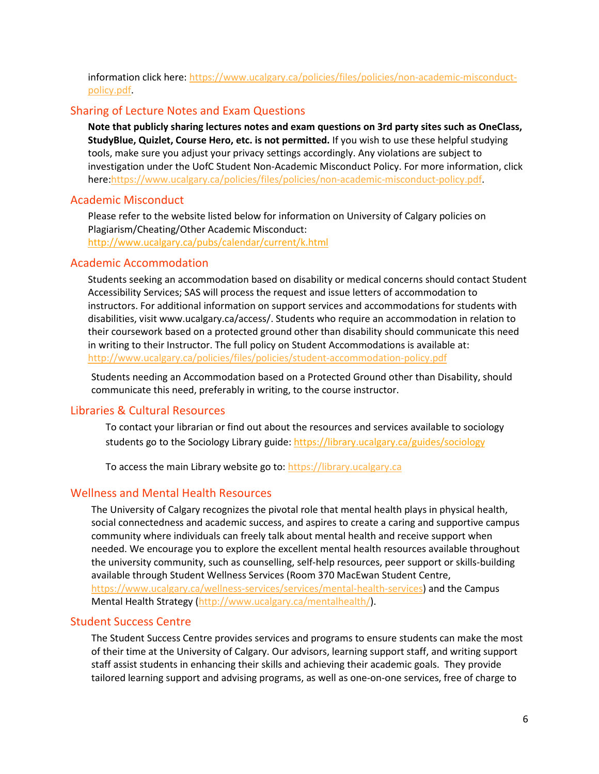information click here: [https://www.ucalgary.ca/policies/files/policies/non-academic-misconduct](https://www.ucalgary.ca/policies/files/policies/non-academic-misconduct-policy.pdf)[policy.pdf.](https://www.ucalgary.ca/policies/files/policies/non-academic-misconduct-policy.pdf)

#### Sharing of Lecture Notes and Exam Questions

**Note that publicly sharing lectures notes and exam questions on 3rd party sites such as OneClass, StudyBlue, Quizlet, Course Hero, etc. is not permitted.** If you wish to use these helpful studying tools, make sure you adjust your privacy settings accordingly. Any violations are subject to investigation under the UofC Student Non-Academic Misconduct Policy. For more information, click here[:https://www.ucalgary.ca/policies/files/policies/non-academic-misconduct-policy.pdf.](https://www.ucalgary.ca/policies/files/policies/non-academic-misconduct-policy.pdf)

#### Academic Misconduct

Please refer to the website listed below for information on University of Calgary policies on Plagiarism/Cheating/Other Academic Misconduct: <http://www.ucalgary.ca/pubs/calendar/current/k.html>

#### Academic Accommodation

Students seeking an accommodation based on disability or medical concerns should contact Student Accessibility Services; SAS will process the request and issue letters of accommodation to instructors. For additional information on support services and accommodations for students with disabilities, visit www.ucalgary.ca/access/. Students who require an accommodation in relation to their coursework based on a protected ground other than disability should communicate this need in writing to their Instructor. The full policy on Student Accommodations is available at: <http://www.ucalgary.ca/policies/files/policies/student-accommodation-policy.pdf>

Students needing an Accommodation based on a Protected Ground other than Disability, should communicate this need, preferably in writing, to the course instructor.

### Libraries & Cultural Resources

To contact your librarian or find out about the resources and services available to sociology students go to the Sociology Library guide[: https://library.ucalgary.ca/guides/sociology](https://library.ucalgary.ca/guides/sociology)

To access the main Library website go to: [https://library.ucalgary.ca](https://library.ucalgary.ca/)

#### Wellness and Mental Health Resources

The University of Calgary recognizes the pivotal role that mental health plays in physical health, social connectedness and academic success, and aspires to create a caring and supportive campus community where individuals can freely talk about mental health and receive support when needed. We encourage you to explore the excellent mental health resources available throughout the university community, such as counselling, self-help resources, peer support or skills-building available through Student Wellness Services (Room 370 MacEwan Student Centre, [https://www.ucalgary.ca/wellness-services/services/mental-health-services\)](https://www.ucalgary.ca/wellness-services/services/mental-health-services) and the Campus Mental Health Strategy [\(http://www.ucalgary.ca/mentalhealth/\)](http://www.ucalgary.ca/mentalhealth/).

#### Student Success Centre

The Student Success Centre provides services and programs to ensure students can make the most of their time at the University of Calgary. Our advisors, learning support staff, and writing support staff assist students in enhancing their skills and achieving their academic goals. They provide tailored learning support and advising programs, as well as one-on-one services, free of charge to